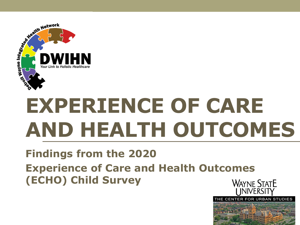

# **EXPERIENCE OF CARE AND HEALTH OUTCOMES**

#### **Findings from the 2020 Experience of Care and Health Outcomes (ECHO) Child SurveyWAYNE STATE**

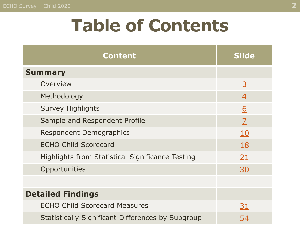## **Table of Contents**

| <b>Content</b>                                           | <b>Slide</b>   |
|----------------------------------------------------------|----------------|
| <b>Summary</b>                                           |                |
| Overview                                                 | $\overline{3}$ |
| Methodology                                              | 4              |
| <b>Survey Highlights</b>                                 | <u>6</u>       |
| Sample and Respondent Profile                            | $\overline{Z}$ |
| <b>Respondent Demographics</b>                           | <u>10</u>      |
| <b>ECHO Child Scorecard</b>                              | <b>18</b>      |
| <b>Highlights from Statistical Significance Testing</b>  | 21             |
| Opportunities                                            | 30             |
|                                                          |                |
| <b>Detailed Findings</b>                                 |                |
| <b>ECHO Child Scorecard Measures</b>                     | <u>31</u>      |
| <b>Statistically Significant Differences by Subgroup</b> | 54             |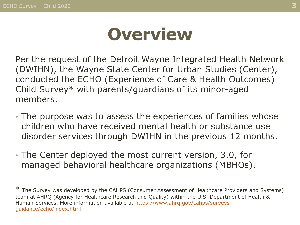## **Overview**

<span id="page-2-0"></span>Per the request of the Detroit Wayne Integrated Health Network (DWIHN), the Wayne State Center for Urban Studies (Center), conducted the ECHO (Experience of Care & Health Outcomes) Child Survey\* with parents/guardians of its minor-aged members.

- The purpose was to assess the experiences of families whose children who have received mental health or substance use disorder services through DWIHN in the previous 12 months.
- The Center deployed the most current version, 3.0, for managed behavioral healthcare organizations (MBHOs).

\* The Survey was developed by the CAHPS (Consumer Assessment of Healthcare Providers and Systems) team at AHRQ (Agency for Healthcare Research and Quality) within the U.S. Department of Health & [Human Services. More information available at https://www.ahrq.gov/cahps/surveys](https://www.ahrq.gov/cahps/surveys-guidance/echo/index.html)guidance/echo/index.html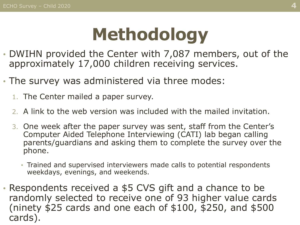## **Methodology**

- <span id="page-3-0"></span>• DWIHN provided the Center with 7,087 members, out of the approximately 17,000 children receiving services.
- The survey was administered via three modes:
	- 1. The Center mailed a paper survey.
	- 2. A link to the web version was included with the mailed invitation.
	- 3. One week after the paper survey was sent, staff from the Center's Computer Aided Telephone Interviewing (CATI) lab began calling parents/guardians and asking them to complete the survey over the phone.
		- Trained and supervised interviewers made calls to potential respondents weekdays, evenings, and weekends.
- Respondents received a \$5 CVS gift and a chance to be randomly selected to receive one of 93 higher value cards (ninety \$25 cards and one each of \$100, \$250, and \$500 cards).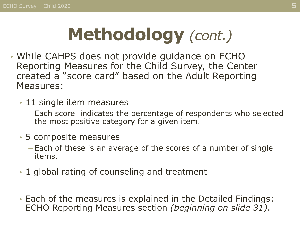# **Methodology** *(cont.)*

- While CAHPS does not provide guidance on ECHO Reporting Measures for the Child Survey, the Center created a "score card" based on the Adult Reporting Measures:
	- 11 single item measures
		- ─ Each score indicates the percentage of respondents who selected the most positive category for a given item.
	- 5 composite measures
		- ─ Each of these is an average of the scores of a number of single items.
	- 1 global rating of counseling and treatment
	- Each of the measures is explained in the Detailed Findings: ECHO Reporting Measures section *(beginning on slide 31)*.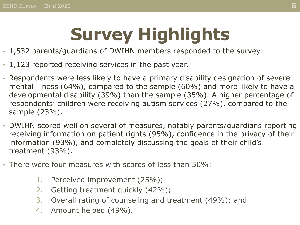# **Survey Highlights**

- <span id="page-5-0"></span>• 1,532 parents/guardians of DWIHN members responded to the survey.
- 1,123 reported receiving services in the past year.
- Respondents were less likely to have a primary disability designation of severe mental illness (64%), compared to the sample (60%) and more likely to have a developmental disability (39%) than the sample (35%). A higher percentage of respondents' children were receiving autism services (27%), compared to the sample (23%).
- DWIHN scored well on several of measures, notably parents/guardians reporting receiving information on patient rights (95%), confidence in the privacy of their information (93%), and completely discussing the goals of their child's treatment (93%).
- There were four measures with scores of less than 50%:
	- 1. Perceived improvement (25%);
	- 2. Getting treatment quickly (42%);
	- 3. Overall rating of counseling and treatment (49%); and
	- 4. Amount helped (49%).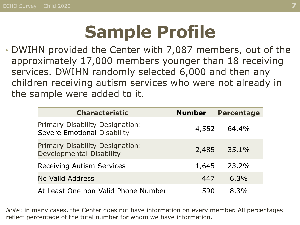## **Sample Profile**

<span id="page-6-0"></span>• DWIHN provided the Center with 7,087 members, out of the approximately 17,000 members younger than 18 receiving services. DWIHN randomly selected 6,000 and then any children receiving autism services who were not already in the sample were added to it.

| <b>Characteristic</b>                                                        | <b>Number</b> | <b>Percentage</b> |
|------------------------------------------------------------------------------|---------------|-------------------|
| <b>Primary Disability Designation:</b><br><b>Severe Emotional Disability</b> | 4,552         | 64.4%             |
| Primary Disability Designation:<br><b>Developmental Disability</b>           | 2,485         | 35.1%             |
| <b>Receiving Autism Services</b>                                             | 1,645         | 23.2%             |
| No Valid Address                                                             | 447           | $6.3\%$           |
| At Least One non-Valid Phone Number                                          | 590           | 8.3%              |

*Note*: in many cases, the Center does not have information on every member. All percentages reflect percentage of the total number for whom we have information.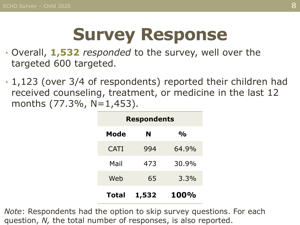## **Survey Response**

- Overall, **1,532** *responded* to the survey, well over the targeted 600 targeted.
- 1,123 (over 3/4 of respondents) reported their children had received counseling, treatment, or medicine in the last 12 months  $(77.3\%$ , N=1,453).

| <b>Respondents</b> |       |               |  |
|--------------------|-------|---------------|--|
| Mode               | N     | $\frac{O}{O}$ |  |
| <b>CATI</b>        | 994   | 64.9%         |  |
| Mail               | 473   | 30.9%         |  |
| Web                | 65    | 3.3%          |  |
| <b>Total</b>       | 1,532 | <b>100%</b>   |  |

*Note*: Respondents had the option to skip survey questions. For each question, *N,* the total number of responses, is also reported.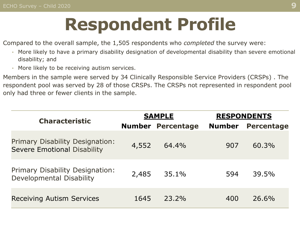## **Respondent Profile**

Compared to the overall sample, the 1,505 respondents who *completed* the survey were:

- More likely to have a primary disability designation of developmental disability than severe emotional disability; and
- More likely to be receiving autism services.

Members in the sample were served by 34 Clinically Responsible Service Providers (CRSPs) . The respondent pool was served by 28 of those CRSPs. The CRSPs not represented in respondent pool only had three or fewer clients in the sample.

| <b>Characteristic</b>                                                        | <b>SAMPLE</b> |                          |               | <b>RESPONDENTS</b> |
|------------------------------------------------------------------------------|---------------|--------------------------|---------------|--------------------|
|                                                                              |               | <b>Number Percentage</b> | <b>Number</b> | <b>Percentage</b>  |
| <b>Primary Disability Designation:</b><br><b>Severe Emotional Disability</b> | 4,552         | 64.4%                    | 907           | 60.3%              |
| Primary Disability Designation:<br>Developmental Disability                  | 2,485         | 35.1%                    | 594           | 39.5%              |
| <b>Receiving Autism Services</b>                                             | 1645          | $23.2\%$                 | 400           | 26.6%              |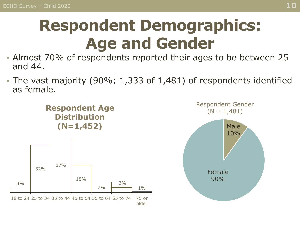## <span id="page-9-0"></span>**Respondent Demographics: Age and Gender**

- Almost 70% of respondents reported their ages to be between 25 and 44.
- The vast majority (90%; 1,333 of 1,481) of respondents identified as female.

**Respondent Age Distribution**



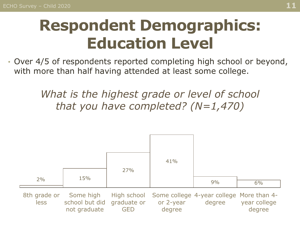### **Respondent Demographics: Education Level**

• Over 4/5 of respondents reported completing high school or beyond, with more than half having attended at least some college.

> *What is the highest grade or level of school that you have completed? (N=1,470)*

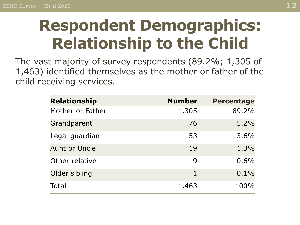### **Respondent Demographics: Relationship to the Child**

The vast majority of survey respondents (89.2%; 1,305 of 1,463) identified themselves as the mother or father of the child receiving services.

| <b>Relationship</b>  | <b>Number</b> | <b>Percentage</b> |
|----------------------|---------------|-------------------|
| Mother or Father     | 1,305         | 89.2%             |
| Grandparent          | 76            | 5.2%              |
| Legal guardian       | 53            | 3.6%              |
| <b>Aunt or Uncle</b> | 19            | 1.3%              |
| Other relative       | 9             | 0.6%              |
| Older sibling        | 1             | 0.1%              |
| Total                | 1,463         | 100%              |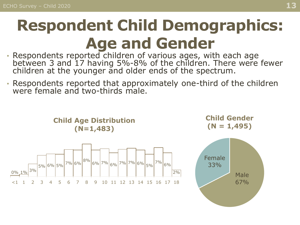## **Respondent Child Demographics: Age and Gender**

- Respondents reported children of various ages, with each age between 3 and 17 having 5%-8% of the children. There were fewer children at the younger and older ends of the spectrum.
- Respondents reported that approximately one-third of the children were female and two-thirds male.

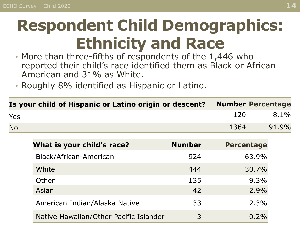### **Respondent Child Demographics: Ethnicity and Race**

- More than three-fifths of respondents of the 1,446 who reported their child's race identified them as Black or African American and 31% as White.
- Roughly 8% identified as Hispanic or Latino.

|           | Is your child of Hispanic or Latino origin or descent? |               | <b>Number Percentage</b> |       |
|-----------|--------------------------------------------------------|---------------|--------------------------|-------|
| Yes       |                                                        |               | 120                      | 8.1%  |
| <b>No</b> |                                                        |               | 1364                     | 91.9% |
|           | What is your child's race?                             | <b>Number</b> | <b>Percentage</b>        |       |
|           | Black/African-American                                 | 924           | 63.9%                    |       |
|           | White                                                  | 444           | 30.7%                    |       |
|           | Other                                                  | 135           | 9.3%                     |       |
|           | Asian                                                  | 42            | 2.9%                     |       |
|           | American Indian/Alaska Native                          | 33            | 2.3%                     |       |
|           | Native Hawaiian/Other Pacific Islander                 | 3             | 0.2%                     |       |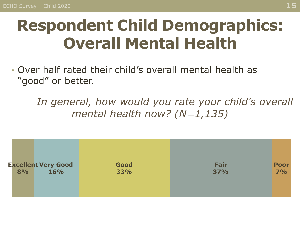### **Respondent Child Demographics: Overall Mental Health**

• Over half rated their child's overall mental health as "good" or better.

In general, how would you rate your child's overall *mental health now? (N=1,135)*

| <b>Excellent Very Good</b><br>Fair<br>Good<br><b>Poor</b><br>7%<br>33%<br><b>16%</b><br>8%<br>37% |
|---------------------------------------------------------------------------------------------------|
|---------------------------------------------------------------------------------------------------|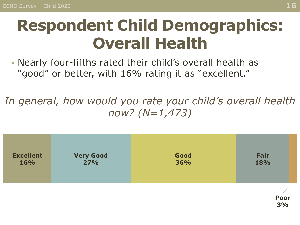### **Respondent Child Demographics: Overall Health**

• Nearly four-fifths rated their child's overall health as "good" or better, with 16% rating it as "excellent."

*In general, how would you rate your child's overall health now? (N=1,473)*

| <b>Excellent</b> | <b>Very Good</b> | Good | Fair       |
|------------------|------------------|------|------------|
| <b>16%</b>       | <b>27%</b>       | 36%  | 18%        |
|                  |                  |      | Poor<br>3% |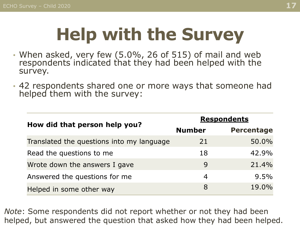## **Help with the Survey**

- When asked, very few (5.0%, 26 of 515) of mail and web respondents indicated that they had been helped with the survey.
- 42 respondents shared one or more ways that someone had helped them with the survey:

|                                           | <b>Respondents</b> |                   |  |  |
|-------------------------------------------|--------------------|-------------------|--|--|
| How did that person help you?             | <b>Number</b>      | <b>Percentage</b> |  |  |
| Translated the questions into my language | 21                 | 50.0%             |  |  |
| Read the questions to me                  | 18                 | 42.9%             |  |  |
| Wrote down the answers I gave             | 9                  | 21.4%             |  |  |
| Answered the questions for me             | 4                  | 9.5%              |  |  |
| Helped in some other way                  | 8                  | 19.0%             |  |  |

*Note*: Some respondents did not report whether or not they had been helped, but answered the question that asked how they had been helped.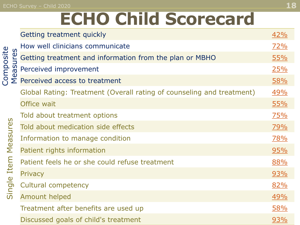#### <span id="page-17-0"></span>ECHO Survey – Child 2020 **18**

## **ECHO Child Scorecard**

|                      | Getting treatment quickly                                             | <u>42%</u> |
|----------------------|-----------------------------------------------------------------------|------------|
|                      | How well clinicians communicate                                       | <u>72%</u> |
| Composite<br>easures | Getting treatment and information from the plan or MBHO               | 55%        |
|                      | Perceived improvement                                                 | <u>25%</u> |
|                      | $\Sigma$ Perceived access to treatment                                | <u>58%</u> |
|                      | Global Rating: Treatment (Overall rating of counseling and treatment) | <u>49%</u> |
|                      | Office wait                                                           | 55%        |
|                      | Told about treatment options                                          | 75%        |
| Measures             | Told about medication side effects                                    | <u>79%</u> |
|                      | Information to manage condition                                       | <u>78%</u> |
|                      | Patient rights information                                            | 95%        |
|                      | Patient feels he or she could refuse treatment                        | 88%        |
| Single Item          | Privacy                                                               | <u>93%</u> |
|                      | <b>Cultural competency</b>                                            | <u>82%</u> |
|                      | <b>Amount helped</b>                                                  | 49%        |
|                      | Treatment after benefits are used up                                  | <u>58%</u> |
|                      | Discussed goals of child's treatment                                  | <u>93%</u> |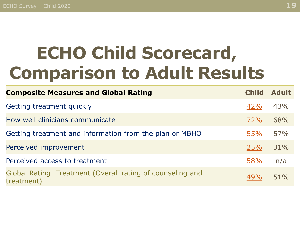## **ECHO Child Scorecard, Comparison to Adult Results**

| <b>Composite Measures and Global Rating</b>                              | <b>Child</b> | <b>Adult</b> |
|--------------------------------------------------------------------------|--------------|--------------|
| Getting treatment quickly                                                | 42%          | 43%          |
| How well clinicians communicate                                          | 72%          | 68%          |
| Getting treatment and information from the plan or MBHO                  | <b>55%</b>   | 57%          |
| Perceived improvement                                                    | 25%          | 31%          |
| Perceived access to treatment                                            | 58%          | n/a          |
| Global Rating: Treatment (Overall rating of counseling and<br>treatment) | 49%          | 51%          |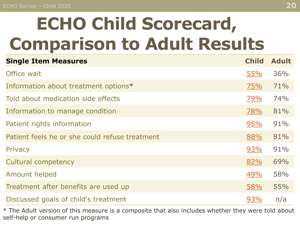# **ECHO Child Scorecard, Comparison to Adult Results**

| <b>Single Item Measures</b>                    | <b>Child</b> | <b>Adult</b> |
|------------------------------------------------|--------------|--------------|
| Office wait                                    | 55%          | 36%          |
| Information about treatment options*           | 75%          | 71%          |
| Told about medication side effects             | <u>79%</u>   | 74%          |
| Information to manage condition                | 78%          | 81%          |
| Patient rights information                     | 95%          | 91%          |
| Patient feels he or she could refuse treatment | 88%          | 81%          |
| Privacy                                        | 93%          | 91%          |
| <b>Cultural competency</b>                     | 82%          | 69%          |
| Amount helped                                  | 49%          | 58%          |
| Treatment after benefits are used up           | 58%          | 55%          |
| Discussed goals of child's treatment           | 93%          | n/a          |

\* The Adult version of this measure is a composite that also includes whether they were told about self-help or consumer run programs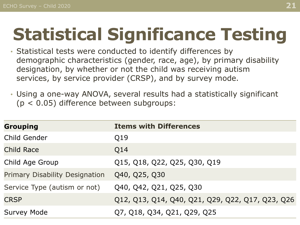## <span id="page-20-0"></span>**Statistical Significance Testing**

- Statistical tests were conducted to identify differences by demographic characteristics (gender, race, age), by primary disability designation, by whether or not the child was receiving autism services, by service provider (CRSP), and by survey mode.
- Using a one-way ANOVA, several results had a statistically significant (p < 0.05) difference between subgroups:

| <b>Grouping</b>                       | <b>Items with Differences</b>                    |
|---------------------------------------|--------------------------------------------------|
| <b>Child Gender</b>                   | Q19                                              |
| <b>Child Race</b>                     | Q14                                              |
| Child Age Group                       | Q15, Q18, Q22, Q25, Q30, Q19                     |
| <b>Primary Disability Designation</b> | Q40, Q25, Q30                                    |
| Service Type (autism or not)          | Q40, Q42, Q21, Q25, Q30                          |
| <b>CRSP</b>                           | Q12, Q13, Q14, Q40, Q21, Q29, Q22, Q17, Q23, Q26 |
| <b>Survey Mode</b>                    | Q7, Q18, Q34, Q21, Q29, Q25                      |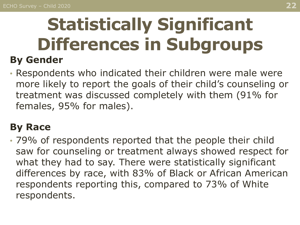### **Statistically Significant Differences in Subgroups By Gender**

• Respondents who indicated their children were male were more likely to report the goals of their child's counseling or treatment was discussed completely with them (91% for females, 95% for males).

#### **By Race**

• 79% of respondents reported that the people their child saw for counseling or treatment always showed respect for what they had to say. There were statistically significant differences by race, with 83% of Black or African American respondents reporting this, compared to 73% of White respondents.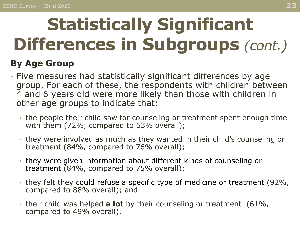# **Statistically Significant Differences in Subgroups** *(cont.)*

#### **By Age Group**

- Five measures had statistically significant differences by age group. For each of these, the respondents with children between 4 and 6 years old were more likely than those with children in other age groups to indicate that:
	- the people their child saw for counseling or treatment spent enough time with them (72%, compared to 63% overall);
	- they were involved as much as they wanted in their child's counseling or treatment (84%, compared to 76% overall);
	- they were given information about different kinds of counseling or treatment (84%, compared to 75% overall);
	- they felt they could refuse a specific type of medicine or treatment (92%, compared to 88% overall); and
	- their child was helped **a lot** by their counseling or treatment (61%, compared to 49% overall).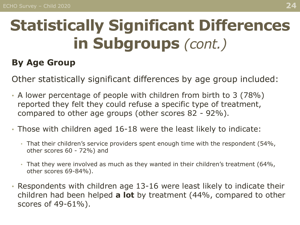### **Statistically Significant Differences in Subgroups** *(cont.)*

#### **By Age Group**

Other statistically significant differences by age group included:

- A lower percentage of people with children from birth to 3 (78%) reported they felt they could refuse a specific type of treatment, compared to other age groups (other scores 82 - 92%).
- Those with children aged 16-18 were the least likely to indicate:
	- That their children's service providers spent enough time with the respondent (54%, other scores 60 - 72%) and
	- That they were involved as much as they wanted in their children's treatment (64%, other scores 69-84%).
- Respondents with children age 13-16 were least likely to indicate their children had been helped **a lot** by treatment (44%, compared to other scores of 49-61%).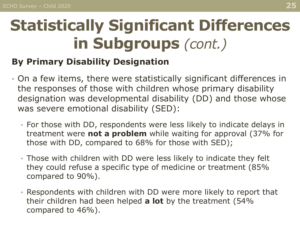### **Statistically Significant Differences in Subgroups** *(cont.)*

#### **By Primary Disability Designation**

- On a few items, there were statistically significant differences in the responses of those with children whose primary disability designation was developmental disability (DD) and those whose was severe emotional disability (SED):
	- For those with DD, respondents were less likely to indicate delays in treatment were **not a problem** while waiting for approval (37% for those with DD, compared to 68% for those with SED);
	- Those with children with DD were less likely to indicate they felt they could refuse a specific type of medicine or treatment (85% compared to 90%).
	- Respondents with children with DD were more likely to report that their children had been helped **a lot** by the treatment (54% compared to 46%).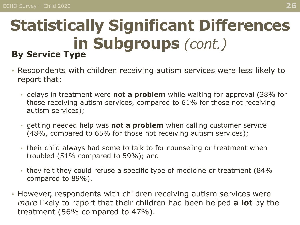#### **Statistically Significant Differences in Subgroups** *(cont.)* **By Service Type**

- Respondents with children receiving autism services were less likely to report that:
	- delays in treatment were **not a problem** while waiting for approval (38% for those receiving autism services, compared to 61% for those not receiving autism services);
	- getting needed help was **not a problem** when calling customer service (48%, compared to 65% for those not receiving autism services);
	- their child always had some to talk to for counseling or treatment when troubled (51% compared to 59%); and
	- they felt they could refuse a specific type of medicine or treatment (84% compared to 89%).
- However, respondents with children receiving autism services were *more* likely to report that their children had been helped **a lot** by the treatment (56% compared to 47%).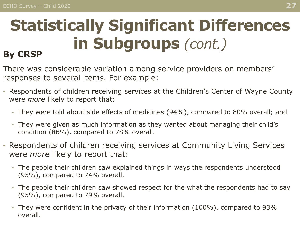#### **Statistically Significant Differences in Subgroups** *(cont.)* **By CRSP**

#### There was considerable variation among service providers on members' responses to several items. For example:

- Respondents of children receiving services at the Children's Center of Wayne County were *more* likely to report that:
	- They were told about side effects of medicines (94%), compared to 80% overall; and
	- They were given as much information as they wanted about managing their child's condition (86%), compared to 78% overall.
- Respondents of children receiving services at Community Living Services were *more* likely to report that:
	- The people their children saw explained things in ways the respondents understood (95%), compared to 74% overall.
	- The people their children saw showed respect for the what the respondents had to say (95%), compared to 79% overall.
	- They were confident in the privacy of their information (100%), compared to 93% overall.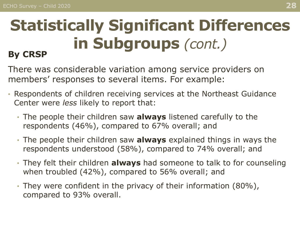#### **Statistically Significant Differences in Subgroups** *(cont.)* **By CRSP**

There was considerable variation among service providers on members' responses to several items. For example:

- Respondents of children receiving services at the Northeast Guidance Center were *less* likely to report that:
	- The people their children saw **always** listened carefully to the respondents (46%), compared to 67% overall; and
	- The people their children saw **always** explained things in ways the respondents understood (58%), compared to 74% overall; and
	- They felt their children **always** had someone to talk to for counseling when troubled (42%), compared to 56% overall; and
	- They were confident in the privacy of their information (80%), compared to 93% overall.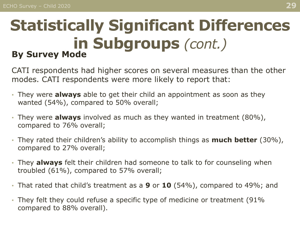#### **Statistically Significant Differences in Subgroups** *(cont.)* **By Survey Mode**

CATI respondents had higher scores on several measures than the other modes. CATI respondents were more likely to report that:

- They were **always** able to get their child an appointment as soon as they wanted (54%), compared to 50% overall;
- They were **always** involved as much as they wanted in treatment (80%), compared to 76% overall;
- They rated their children's ability to accomplish things as **much better** (30%), compared to 27% overall;
- They **always** felt their children had someone to talk to for counseling when troubled (61%), compared to 57% overall;
- That rated that child's treatment as a **9** or **10** (54%), compared to 49%; and
- They felt they could refuse a specific type of medicine or treatment (91% compared to 88% overall).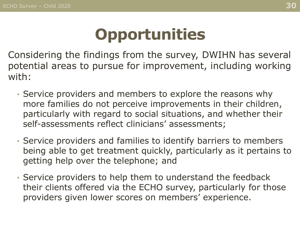### **Opportunities**

<span id="page-29-0"></span>Considering the findings from the survey, DWIHN has several potential areas to pursue for improvement, including working with:

- Service providers and members to explore the reasons why more families do not perceive improvements in their children, particularly with regard to social situations, and whether their self-assessments reflect clinicians' assessments;
- Service providers and families to identify barriers to members being able to get treatment quickly, particularly as it pertains to getting help over the telephone; and
- Service providers to help them to understand the feedback their clients offered via the ECHO survey, particularly for those providers given lower scores on members' experience.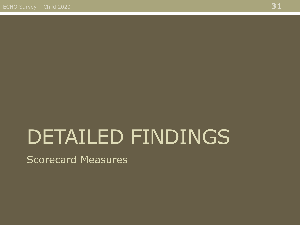# <span id="page-30-0"></span>DETAILED FINDINGS

Scorecard Measures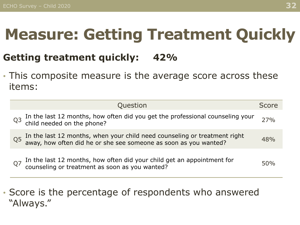### <span id="page-31-0"></span>**Measure: Getting Treatment Quickly**

#### **Getting treatment quickly: 42%**

• This composite measure is the average score across these items:

|                | Question                                                                                                                                   | Score |
|----------------|--------------------------------------------------------------------------------------------------------------------------------------------|-------|
| Q <sub>3</sub> | In the last 12 months, how often did you get the professional counseling your child needed on the phone?                                   | 27%   |
| Q <sub>5</sub> | In the last 12 months, when your child need counseling or treatment right away, how often did he or she see someone as soon as you wanted? | 48%   |
| Q7             | In the last 12 months, how often did your child get an appointment for counseling or treatment as soon as you wanted?                      | 50%   |

• Score is the percentage of respondents who answered "Always."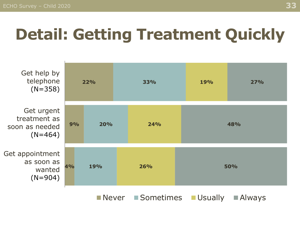## **Detail: Getting Treatment Quickly**



Never Sometimes Usually Always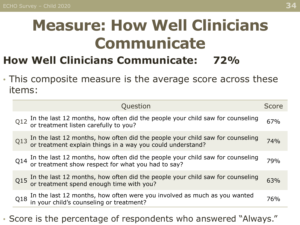### <span id="page-33-0"></span>**Measure: How Well Clinicians Communicate**

#### **How Well Clinicians Communicate: 72%**

• This composite measure is the average score across these items:

|     | Question                                                                                                                                     | <b>Score</b> |
|-----|----------------------------------------------------------------------------------------------------------------------------------------------|--------------|
|     | Q12 In the last 12 months, how often did the people your child saw for counseling or treatment listen carefully to you?                      | 67%          |
|     | Q13 In the last 12 months, how often did the people your child saw for counseling or treatment explain things in a way you could understand? | 74%          |
|     | $Q14$ In the last 12 months, how often did the people your child saw for counseling or treatment show respect for what you had to say?       | 79%          |
|     | Q15 In the last 12 months, how often did the people your child saw for counseling or treatment spend enough time with you?                   | 63%          |
| Q18 | In the last 12 months, how often were you involved as much as you wanted in your child's counseling or treatment?                            | 76%          |
|     |                                                                                                                                              |              |

#### • Score is the percentage of respondents who answered "Always."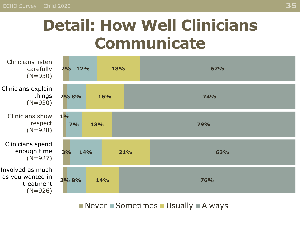### **Detail: How Well Clinicians Communicate**



■ Never ■ Sometimes ■ Usually ■ Always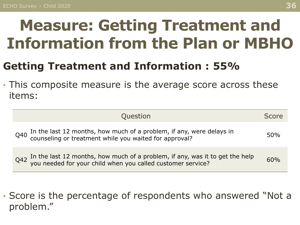### <span id="page-35-0"></span>**Measure: Getting Treatment and Information from the Plan or MBHO**

#### **Getting Treatment and Information : 55%**

• This composite measure is the average score across these items:

| Question                                                                                                                                       | Score      |
|------------------------------------------------------------------------------------------------------------------------------------------------|------------|
| In the last 12 months, how much of a problem, if any, were delays in counseling or treatment while you waited for approval?<br>Q40             | <b>50%</b> |
| $Q42$ In the last 12 months, how much of a problem, if any, was it to get the help you needed for your child when you called customer service? | 60%        |

• Score is the percentage of respondents who answered "Not a problem."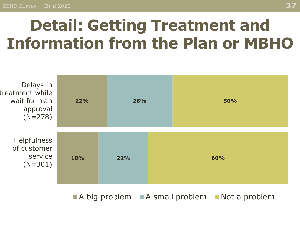### **Detail: Getting Treatment and Information from the Plan or MBHO**



 $\blacksquare$  A big problem  $\blacksquare$  A small problem  $\blacksquare$  Not a problem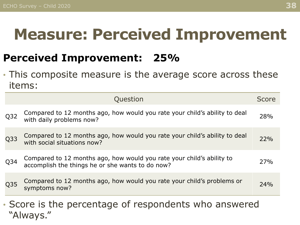#### <span id="page-37-0"></span>**Measure: Perceived Improvement**

#### **Perceived Improvement: 25%**

• This composite measure is the average score across these items:

|                 | Question                                                                                                                  | Score |
|-----------------|---------------------------------------------------------------------------------------------------------------------------|-------|
| Q <sub>32</sub> | Compared to 12 months ago, how would you rate your child's ability to deal<br>with daily problems now?                    | 28%   |
| Q <sub>33</sub> | Compared to 12 months ago, how would you rate your child's ability to deal<br>with social situations now?                 | 22%   |
| Q <sub>34</sub> | Compared to 12 months ago, how would you rate your child's ability to<br>accomplish the things he or she wants to do now? | 27%   |
| Q35             | Compared to 12 months ago, how would you rate your child's problems or<br>symptoms now?                                   | 24%   |
|                 | Scare is the persontage of respondants who apswered                                                                       |       |

• Score is the percentage of respondents who answered "Always."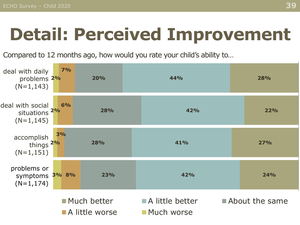## **Detail: Perceived Improvement**

Compared to 12 months ago, how would you rate your child's ability to…

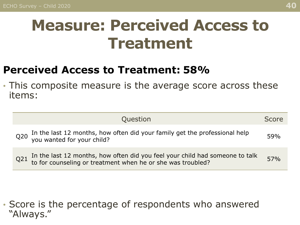#### <span id="page-39-0"></span>**Measure: Perceived Access to Treatment**

#### **Perceived Access to Treatment: 58%**

• This composite measure is the average score across these items:

| Question                                                                                                                                     | Score |
|----------------------------------------------------------------------------------------------------------------------------------------------|-------|
| Q20 In the last 12 months, how often did your family get the professional help<br>you wanted for your child?                                 | 59%   |
| Q21 In the last 12 months, how often did you feel your child had someone to talk to for counseling or treatment when he or she was troubled? | 57%   |

• Score is the percentage of respondents who answered "Always."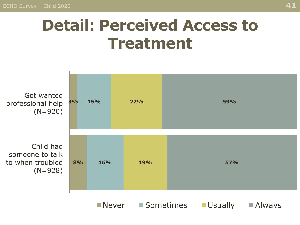ECHO Survey – Child 2020 **41**

#### **Detail: Perceived Access to Treatment**

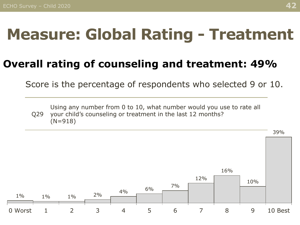### <span id="page-41-0"></span>**Measure: Global Rating - Treatment**

#### **Overall rating of counseling and treatment: 49%**

Score is the percentage of respondents who selected 9 or 10.

Q29 Using any number from 0 to 10, what number would you use to rate all your child's counseling or treatment in the last 12 months? (N=918)

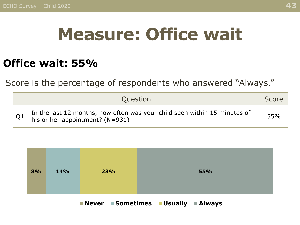## **Measure: Office wait**

#### <span id="page-42-0"></span>**Office wait: 55%**

Score is the percentage of respondents who answered "Always."

| Question                                                                                                          | Score |
|-------------------------------------------------------------------------------------------------------------------|-------|
| Q11 In the last 12 months, how often was your child seen within 15 minutes of his or her appointment? ( $N=931$ ) | 55%   |



**Never Sometimes Usually Always**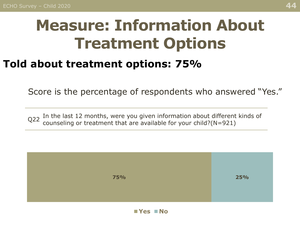### <span id="page-43-0"></span>**Measure: Information About Treatment Options**

#### **Told about treatment options: 75%**

Score is the percentage of respondents who answered "Yes."

 $Q22$  In the last 12 months, were you given information about different kinds of  $Q22$  counceling or treatment that are available for your child  $(0.021)$ counseling or treatment that are available for your child?(N=921)

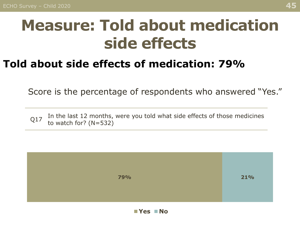#### <span id="page-44-0"></span>**Measure: Told about medication side effects**

#### **Told about side effects of medication: 79%**

Score is the percentage of respondents who answered "Yes."

Q17 In the last 12 months, were you told what side effects of those medicines to watch for? (N=532)

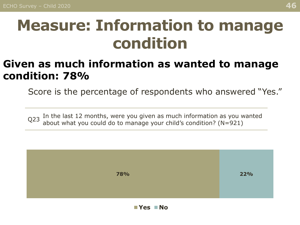#### <span id="page-45-0"></span>**Measure: Information to manage condition**

#### **Given as much information as wanted to manage condition: 78%**

Score is the percentage of respondents who answered "Yes."

 $Q$ 23 In the last 12 months, were you given as much information as you wanted about what you could do to manage your child's condition? (N=921)

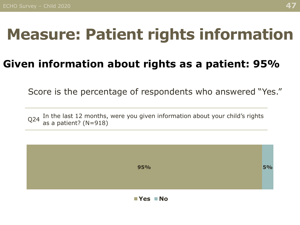#### <span id="page-46-0"></span>**Measure: Patient rights information**

#### **Given information about rights as a patient: 95%**

Score is the percentage of respondents who answered "Yes."

 $Q$ 24 In the last 12 months, were you given information about your child's rights  $Q$ as a patient? (N=918)

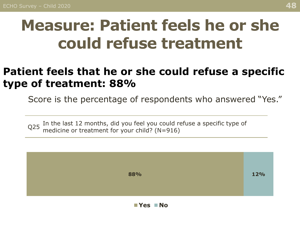### <span id="page-47-0"></span>**Measure: Patient feels he or she could refuse treatment**

#### **Patient feels that he or she could refuse a specific type of treatment: 88%**

Score is the percentage of respondents who answered "Yes."

 $Q25$  In the last 12 months, did you feel you could refuse a specific type of  $Q25$  modicine or treatment for vour child? (N-016) medicine or treatment for your child? (N=916)

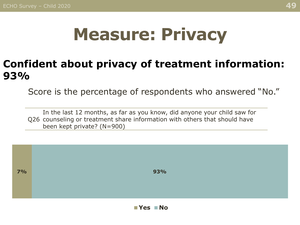## **Measure: Privacy**

#### <span id="page-48-0"></span>**Confident about privacy of treatment information: 93%**

Score is the percentage of respondents who answered "No."

Q26 counseling or treatment share information with others that should have In the last 12 months, as far as you know, did anyone your child saw for been kept private? (N=900)

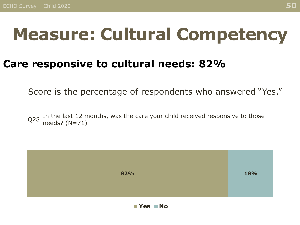## <span id="page-49-0"></span>**Measure: Cultural Competency**

#### **Care responsive to cultural needs: 82%**

Score is the percentage of respondents who answered "Yes."

Q28 In the last 12 months, was the care your child received responsive to those needs? (N=71)

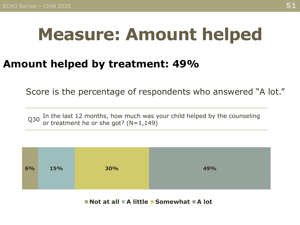### <span id="page-50-0"></span>**Measure: Amount helped**

#### **Amount helped by treatment: 49%**

Score is the percentage of respondents who answered "A lot."

 $Q30$  In the last 12 months, how much was your child helped by the counseling  $Q30$  ar treatment be exchanged. or treatment he or she got? (N=1,149)



**Not at all A little Somewhat A lot**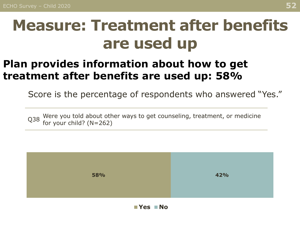#### <span id="page-51-0"></span>**Measure: Treatment after benefits are used up**

#### **Plan provides information about how to get treatment after benefits are used up: 58%**

Score is the percentage of respondents who answered "Yes."

Q38 Were you told about other ways to get counseling, treatment, or medicine Q38 for your obild? (N-363) for your child? (N=262)

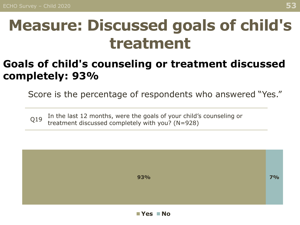#### <span id="page-52-0"></span>**Measure: Discussed goals of child's treatment**

#### **Goals of child's counseling or treatment discussed completely: 93%**

Score is the percentage of respondents who answered "Yes."

Q19 In the last 12 months, were the goals of your child's counseling or treatment discussed completely with you? (N=928)

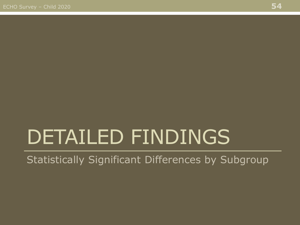# <span id="page-53-0"></span>DETAILED FINDINGS

Statistically Significant Differences by Subgroup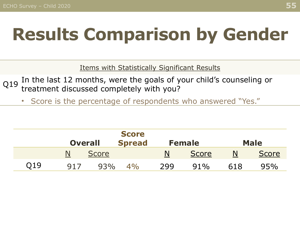## **Results Comparison by Gender**

Items with Statistically Significant Results

- Q19 In the last 12 months, were the goals of your child's counseling or treatment discussed completely with you?
	- Score is the percentage of respondents who answered "Yes."

|     | <b>Overall</b> |              | <b>Score</b><br><b>Spread</b> |     | <b>Female</b> | <b>Male</b> |              |  |
|-----|----------------|--------------|-------------------------------|-----|---------------|-------------|--------------|--|
|     |                | <b>Score</b> |                               | N   | <b>Score</b>  |             | <b>Score</b> |  |
| Q19 | 917            | 93%          | 4%                            | 299 | 91%           | 618         | 95%          |  |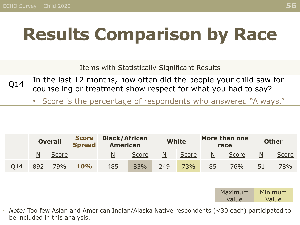## **Results Comparison by Race**

Items with Statistically Significant Results

- $Q14$  In the last 12 months, how often did the people your child saw for counseling or treatment show respect for what you had to say?
	- Score is the percentage of respondents who answered "Always."

|     |     | <b>Score</b><br><b>Overall</b><br><b>Spread</b> |     | <b>Black/African</b><br><b>American</b> |              | <b>White</b> |       |    | More than one<br>race | <b>Other</b> |       |
|-----|-----|-------------------------------------------------|-----|-----------------------------------------|--------------|--------------|-------|----|-----------------------|--------------|-------|
|     | N   | Score                                           |     | N                                       | <b>Score</b> | N            | Score | N  | <b>Score</b>          | N            | Score |
| O14 | 892 | 79%                                             | 10% | 485                                     | 83%          | 249          | 73%   | 85 | 76%                   | 51           | 78%   |



• *Note:* Too few Asian and American Indian/Alaska Native respondents (<30 each) participated to be included in this analysis.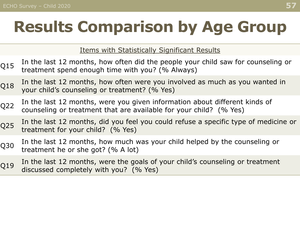## **Results Comparison by Age Group**

Items with Statistically Significant Results

- $Q15$  In the last 12 months, how often did the people your child saw for counseling or  $Q15$  treatment spend enough time with you?  $(0/-0)$ treatment spend enough time with you? (% Always)
- $Q18$  In the last 12 months, how often were you involved as much as you wanted in  $Q18$ your child's counseling or treatment? (% Yes)
- Q22 In the last 12 months, were you given information about different kinds of counseling or treatment that are available for your child? (% Yes)
- Q25 In the last 12 months, did you feel you could refuse a specific type of medicine or treatment for your child? (% Yes)
- Q30 In the last 12 months, how much was your child helped by the counseling or Q30 treatment he or she got? (% A lot)
- $Q19$  In the last 12 months, were the goals of your child's counseling or treatment discussed completely with you? (% Yes)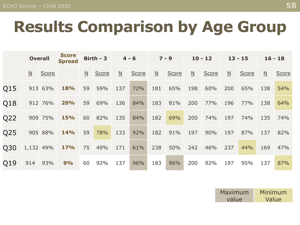### **Results Comparison by Age Group**

|     | <b>Overall</b>          |         | <b>Score</b><br><b>Spread</b> |                 | Birth - $3$ | $4 - 6$                 |       | $7 - 9$                  |              | $10 - 12$                |              | $13 - 15$                |              | $16 - 18$                |              |
|-----|-------------------------|---------|-------------------------------|-----------------|-------------|-------------------------|-------|--------------------------|--------------|--------------------------|--------------|--------------------------|--------------|--------------------------|--------------|
|     | $\overline{\mathsf{N}}$ | Score   |                               | $\underline{N}$ | Score       | $\overline{\mathsf{N}}$ | Score | $\underline{\mathsf{N}}$ | <b>Score</b> | $\underline{\mathsf{N}}$ | <b>Score</b> | $\underline{\mathsf{N}}$ | <b>Score</b> | $\underline{\mathsf{N}}$ | <b>Score</b> |
| Q15 |                         | 913 63% | <b>18%</b>                    | 59              | 59%         | 137                     | 72%   | 181                      | 65%          | 198                      | 60%          | 200                      | 65%          | 138                      | 54%          |
| Q18 |                         | 912 76% | 20%                           | 59              | 69%         | 136                     | 84%   | 183                      | 81%          | 200                      | 77%          | 196                      | 77%          | 138                      | 64%          |
| Q22 |                         | 909 75% | <b>15%</b>                    | 60              | 82%         | 135                     | 84%   | 182                      | 69%          | 200                      | 74%          | 197                      | 74%          | 135                      | 74%          |
| Q25 |                         | 905 88% | <b>14%</b>                    | 59              | 78%         | 133                     | 92%   | 182                      | 91%          | 197                      | 90%          | 197                      | 87%          | 137                      | 82%          |
| Q30 | 1,132 49%               |         | <b>17%</b>                    | 75              | 49%         | 171                     | 61%   | 238                      | 50%          | 242                      | 46%          | 237                      | 44%          | 169                      | 47%          |
| Q19 | 914                     | 93%     | 9%                            | 60              | 92%         | 137                     | 96%   | 183                      | 96%          | 200                      | 92%          | 197                      | 95%          | 137                      | 87%          |

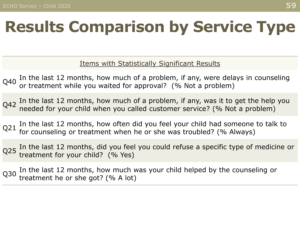## **Results Comparison by Service Type**

Items with Statistically Significant Results

- $Q_{40}$  In the last 12 months, how much of a problem, if any, were delays in counseling  $Q_{40}$  are treatment while very waited for anomal  $Q_{40}$ . or treatment while you waited for approval? (% Not a problem)
- $Q_{42}$  In the last 12 months, how much of a problem, if any, was it to get the help you needed for your child when you called customer service? (% Not a problem)
- $Q21$  In the last 12 months, how often did you feel your child had someone to talk to for counseling or treatment when he or she was troubled? (% Always)
- Q25 In the last 12 months, did you feel you could refuse a specific type of medicine or<br>Q25 treatment for your child? (% Yes) treatment for your child? (% Yes)
- Q30 In the last 12 months, how much was your child helped by the counseling or treatment he or she got? (% A lot)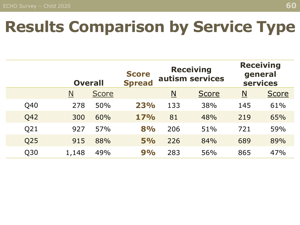### **Results Comparison by Service Type**

|     | <b>Overall</b> |              | <b>Score</b><br><b>Spread</b> | <b>Receiving</b><br>autism services |              | <b>Receiving</b><br>general<br><b>services</b> |              |
|-----|----------------|--------------|-------------------------------|-------------------------------------|--------------|------------------------------------------------|--------------|
|     | N              | <b>Score</b> |                               | $\overline{\mathsf{N}}$             | <b>Score</b> | $\underline{\mathbf{N}}$                       | <b>Score</b> |
| Q40 | 278            | 50%          | 23%                           | 133                                 | 38%          | 145                                            | 61%          |
| Q42 | 300            | 60%          | 17%                           | 81                                  | 48%          | 219                                            | 65%          |
| Q21 | 927            | 57%          | 8%                            | 206                                 | 51%          | 721                                            | 59%          |
| Q25 | 915            | 88%          | 5%                            | 226                                 | 84%          | 689                                            | 89%          |
| Q30 | 1,148          | 49%          | 9%                            | 283                                 | 56%          | 865                                            | 47%          |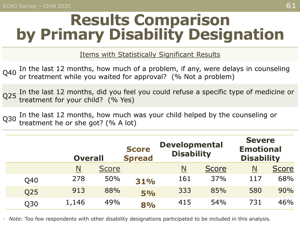#### **Results Comparison by Primary Disability Designation**

Items with Statistically Significant Results

 $Q_{40}$  In the last 12 months, how much of a problem, if any, were delays in counseling  $Q_{40}$  are treatment while very waited for anomal  $Q_{40}$ . or treatment while you waited for approval? (% Not a problem)

Q25 In the last 12 months, did you feel you could refuse a specific type of medicine or treatment for your child? (% Yes)

Q30 In the last 12 months, how much was your child helped by the counseling or treatment he or she got? (% A lot)

|     | <b>Overall</b> |              | <b>Score</b><br><b>Spread</b> | <b>Developmental</b><br><b>Disability</b> |              |                          | <b>Severe</b><br><b>Emotional</b><br><b>Disability</b> |  |
|-----|----------------|--------------|-------------------------------|-------------------------------------------|--------------|--------------------------|--------------------------------------------------------|--|
|     | $\mathsf{N}$   | <b>Score</b> |                               | <u>N</u>                                  | <b>Score</b> | $\underline{\mathsf{N}}$ | <b>Score</b>                                           |  |
| Q40 | 278            | 50%          | 31%                           | 161                                       | 37%          | 117                      | 68%                                                    |  |
| Q25 | 913            | 88%          | 5%                            | 333                                       | 85%          | 580                      | 90%                                                    |  |
| Q30 | 1,146          | 49%          | 8%                            | 415                                       | 54%          | 731                      | 46%                                                    |  |

• *Note:* Too few respondents with other disability designations participated to be included in this analysis.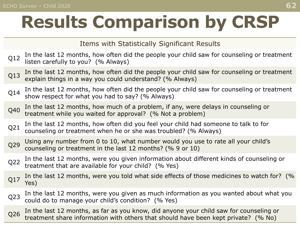Items with Statistically Significant Results

- Q12 In the last 12 months, how often did the people your child saw for counseling or treatment listen carefully to you? (% Always)
- Q13 In the last 12 months, how often did the people your child saw for counseling or treatment explain things in a way you could understand? (% Always)
- Q14 In the last 12 months, how often did the people your child saw for counseling or treatment show respect for what you had to say? (% Always)
- Q40 In the last 12 months, how much of a problem, if any, were delays in counseling or treatment while you waited for approval? (% Not a problem)
- Q21 In the last 12 months, how often did you feel your child had someone to talk to for counseling or treatment when he or she was troubled? (% Always)
- O29 Using any number from 0 to 10, what number would you use to rate all your child's counseling or treatment in the last 12 months? (% 9 or 10)
- Q22 In the last 12 months, were you given information about different kinds of counseling or treatment that are available for your child? (% Yes)
- O17 In the last 12 months, were you told what side effects of those medicines to watch for? (%) Yes)
- Q23 In the last 12 months, were you given as much information as you wanted about what you could do to manage your child's condition? (% Yes)
- Q26 In the last 12 months, as far as you know, did anyone your child saw for counseling or treatment share information with others that should have been kept private? (% No)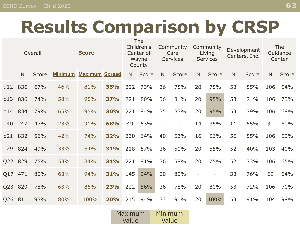|         | Overall      |              | <b>Score</b>   |                       |            | The<br>Children's<br>Center of<br>Wayne<br>County |       | Community<br>Care<br><b>Services</b> |              | Community<br>Living<br><b>Services</b> |                          | Development<br>Centers, Inc. |       | The<br>Guidance<br>Center |       |
|---------|--------------|--------------|----------------|-----------------------|------------|---------------------------------------------------|-------|--------------------------------------|--------------|----------------------------------------|--------------------------|------------------------------|-------|---------------------------|-------|
|         | $\mathsf{N}$ | <b>Score</b> | <b>Minimum</b> | <b>Maximum Spread</b> |            | N.                                                | Score | N                                    | <b>Score</b> | $\mathsf{N}$                           | Score                    | N                            | Score | $\mathsf{N}$              | Score |
| q12 836 |              | 67%          | 46%            | 81%                   | 35%        | 222                                               | 73%   | 36                                   | 78%          | 20                                     | 75%                      | 53                           | 55%   | 106                       | 54%   |
| q13     | 836          | 74%          | 58%            | 95%                   | <b>37%</b> | 221                                               | 80%   | 36                                   | 81%          | 20                                     | 95%                      | 53                           | 74%   | 106                       | 73%   |
|         | q14 834      | 79%          | 65%            | 95%                   | 30%        | 221                                               | 84%   | 35                                   | 83%          | 20                                     | 95%                      | 53                           | 79%   | 106                       | 68%   |
| q40     | 247          | 47%          | 23%            | 91%                   | 68%        | 49                                                | 53%   |                                      | -            | 14                                     | 36%                      | 11                           | 55%   | 30                        | 60%   |
| q21     | 832          | 56%          | 42%            | 74%                   | 32%        | 230                                               | 64%   | 40                                   | 53%          | 16                                     | 56%                      | 56                           | 55%   | 106                       | 50%   |
| q29     | 824          | 49%          | 33%            | 64%                   | 31%        | 218                                               | 57%   | 36                                   | 50%          | 20                                     | 55%                      | 52                           | 40%   | 103                       | 40%   |
| Q22 829 |              | 75%          | 53%            | 84%                   | 31%        | 221                                               | 81%   | 36                                   | 58%          | 20                                     | 75%                      | 52                           | 73%   | 106                       | 65%   |
| Q17 471 |              | 80%          | 63%            | 94%                   | 31%        | 145                                               | 94%   | 20                                   | 80%          | $\overline{\phantom{0}}$               | $\overline{\phantom{a}}$ | 33                           | 76%   | 69                        | 64%   |
| Q23     | 829          | 78%          | 63%            | 86%                   | 23%        | 222                                               | 86%   | 36                                   | 78%          | 20                                     | 80%                      | 53                           | 72%   | 106                       | 70%   |
| Q26 811 |              | 93%          | 80%            | 100%                  | <b>20%</b> | 215                                               | 94%   | 33                                   | 91%          | 20                                     | 100%                     | 53                           | 91%   | 104                       | 98%   |

| Maximum | Minimum |  |  |  |
|---------|---------|--|--|--|
| value   | Value   |  |  |  |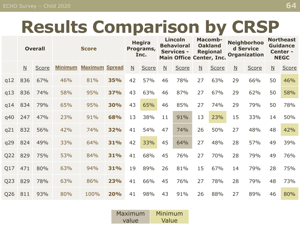|                 | <b>Overall</b>           |              | <b>Score</b>   |                       |            | <b>Hegira</b><br>Programs,<br>Inc. |       | <b>Lincoln</b><br><b>Behavioral</b><br><b>Services -</b> |       | <b>Macomb-</b><br><b>Oakland</b><br><b>Regional</b><br><b>Main Office Center, Inc.</b> |              | <b>Neighborhoo</b><br>d Service<br><b>Organization</b> |       | <b>Northeast</b><br><b>Guidance</b><br>Center -<br><b>NEGC</b> |              |
|-----------------|--------------------------|--------------|----------------|-----------------------|------------|------------------------------------|-------|----------------------------------------------------------|-------|----------------------------------------------------------------------------------------|--------------|--------------------------------------------------------|-------|----------------------------------------------------------------|--------------|
|                 | $\underline{\mathsf{N}}$ | <b>Score</b> | <b>Minimum</b> | <b>Maximum Spread</b> |            | $\mathsf{N}$                       | Score | $\overline{\mathsf{N}}$                                  | Score | $\overline{M}$                                                                         | <b>Score</b> | $\overline{\mathsf{N}}$                                | Score | $\overline{\mathsf{N}}$                                        | <b>Score</b> |
| q12             | 836                      | 67%          | 46%            | 81%                   | <b>35%</b> | 42                                 | 57%   | 46                                                       | 78%   | 27                                                                                     | 63%          | 29                                                     | 66%   | 50                                                             | 46%          |
| q13             | 836                      | 74%          | 58%            | 95%                   | 37%        | 43                                 | 63%   | 46                                                       | 87%   | 27                                                                                     | 67%          | 29                                                     | 62%   | 50                                                             | 58%          |
| q14             | 834                      | 79%          | 65%            | 95%                   | 30%        | 43                                 | 65%   | 46                                                       | 85%   | 27                                                                                     | 74%          | 29                                                     | 79%   | 50                                                             | 78%          |
| q40             | 247                      | 47%          | 23%            | 91%                   | 68%        | 13                                 | 38%   | 11                                                       | 91%   | 13                                                                                     | 23%          | 15                                                     | 33%   | 14                                                             | 50%          |
| q21             | 832                      | 56%          | 42%            | 74%                   | 32%        | 41                                 | 54%   | 47                                                       | 74%   | 26                                                                                     | 50%          | 27                                                     | 48%   | 48                                                             | 42%          |
| q29             | 824                      | 49%          | 33%            | 64%                   | 31%        | 42                                 | 33%   | 45                                                       | 64%   | 27                                                                                     | 48%          | 28                                                     | 57%   | 49                                                             | 39%          |
| Q22             | 829                      | 75%          | 53%            | 84%                   | 31%        | 41                                 | 68%   | 45                                                       | 76%   | 27                                                                                     | 70%          | 28                                                     | 79%   | 49                                                             | 76%          |
| Q17             | 471                      | 80%          | 63%            | 94%                   | 31%        | 19                                 | 89%   | 26                                                       | 81%   | 15                                                                                     | 67%          | 14                                                     | 79%   | 28                                                             | 75%          |
| Q <sub>23</sub> | 829                      | 78%          | 63%            | 86%                   | 23%        | 41                                 | 66%   | 45                                                       | 76%   | 27                                                                                     | 78%          | 28                                                     | 79%   | 48                                                             | 73%          |
| Q26             | 811                      | 93%          | 80%            | 100%                  | 20%        | 41                                 | 98%   | 43                                                       | 91%   | 26                                                                                     | 88%          | 27                                                     | 89%   | 46                                                             | 80%          |

| Maximum | Minimum |  |  |  |
|---------|---------|--|--|--|
| value   | Value   |  |  |  |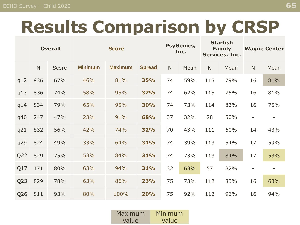|                 | <b>Overall</b>           |              | <b>Score</b>   |                |               | <b>PsyGenics,</b><br>Inc. |      | <b>Starfish</b><br><b>Family</b><br>Services, Inc. |      | <b>Wayne Center</b>      |      |
|-----------------|--------------------------|--------------|----------------|----------------|---------------|---------------------------|------|----------------------------------------------------|------|--------------------------|------|
|                 | $\underline{\mathsf{N}}$ | <b>Score</b> | <b>Minimum</b> | <b>Maximum</b> | <b>Spread</b> | $\underline{\mathsf{N}}$  | Mean | $\underline{\mathsf{N}}$                           | Mean | $\underline{\mathsf{N}}$ | Mean |
| q12             | 836                      | 67%          | 46%            | 81%            | <b>35%</b>    | 74                        | 59%  | 115                                                | 79%  | 16                       | 81%  |
| q13             | 836                      | 74%          | 58%            | 95%            | <b>37%</b>    | 74                        | 62%  | 115                                                | 75%  | 16                       | 81%  |
| q14             | 834                      | 79%          | 65%            | 95%            | <b>30%</b>    | 74                        | 73%  | 114                                                | 83%  | 16                       | 75%  |
| q40             | 247                      | 47%          | 23%            | 91%            | 68%           | 37                        | 32%  | 28                                                 | 50%  |                          |      |
| q21             | 832                      | 56%          | 42%            | 74%            | 32%           | 70                        | 43%  | 111                                                | 60%  | 14                       | 43%  |
| q29             | 824                      | 49%          | 33%            | 64%            | 31%           | 74                        | 39%  | 113                                                | 54%  | 17                       | 59%  |
| Q <sub>22</sub> | 829                      | 75%          | 53%            | 84%            | 31%           | 74                        | 73%  | 113                                                | 84%  | 17                       | 53%  |
| Q17             | 471                      | 80%          | 63%            | 94%            | 31%           | 32                        | 63%  | 57                                                 | 82%  |                          |      |
| Q <sub>23</sub> | 829                      | 78%          | 63%            | 86%            | 23%           | 75                        | 73%  | 112                                                | 83%  | 16                       | 63%  |
| Q26             | 811                      | 93%          | 80%            | 100%           | <b>20%</b>    | 75                        | 92%  | 112                                                | 96%  | 16                       | 94%  |

| Maximum | Minimum |  |  |  |
|---------|---------|--|--|--|
| value   | Value   |  |  |  |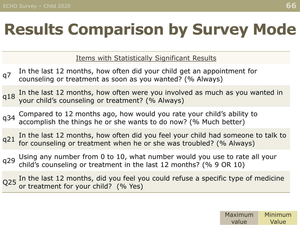## **Results Comparison by Survey Mode**

Items with Statistically Significant Results

- q7 In the last 12 months, how often did your child get an appointment for counseling or treatment as soon as you wanted? (% Always)
- q18 In the last 12 months, how often were you involved as much as you wanted in  $q18$ your child's counseling or treatment? (% Always)
- q34 Compared to 12 months ago, how would you rate your child's ability to  $q34$  accomplish the things be angles works to de new  $(0)$ . Much better) accomplish the things he or she wants to do now? (% Much better)
- $q21$  In the last 12 months, how often did you feel your child had someone to talk to  $q21$  for sourceling or treatment when he or the was treubled? ( $\%$  Always) for counseling or treatment when he or she was troubled? (% Always)
- q29 Using any number from 0 to 10, what number would you use to rate all your  $q29$  shild's seurealing on treatment in the lost 12 monthe? ( $\%$  0.00 10) child's counseling or treatment in the last 12 months? (% 9 OR 10)
- Q25 In the last 12 months, did you feel you could refuse a specific type of medicine or treatment for your child? (% Yes)

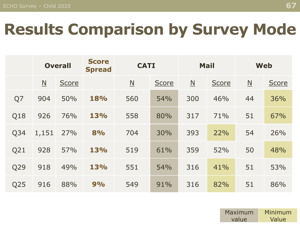### **Results Comparison by Survey Mode**

|     | <b>Overall</b>           |              | <b>Score</b><br><b>Spread</b> | <b>CATI</b>              |              | <b>Mail</b>              |       | <b>Web</b>               |              |  |
|-----|--------------------------|--------------|-------------------------------|--------------------------|--------------|--------------------------|-------|--------------------------|--------------|--|
|     | $\underline{\mathsf{N}}$ | <b>Score</b> |                               | $\underline{\mathsf{N}}$ | <b>Score</b> | $\underline{\mathsf{N}}$ | Score | $\underline{\mathsf{N}}$ | <b>Score</b> |  |
| Q7  | 904                      | 50%          | 18%                           | 560                      | 54%          | 300                      | 46%   | 44                       | 36%          |  |
| Q18 | 926                      | 76%          | 13%                           | 558                      | 80%          | 317                      | 71%   | 51                       | 67%          |  |
| Q34 | 1,151                    | 27%          | 8%                            | 704                      | 30%          | 393                      | 22%   | 54                       | 26%          |  |
| Q21 | 928                      | 57%          | 13%                           | 519                      | 61%          | 359                      | 52%   | 50                       | 48%          |  |
| Q29 | 918                      | 49%          | 13%                           | 551                      | 54%          | 316                      | 41%   | 51                       | 53%          |  |
| Q25 | 916                      | 88%          | 9%                            | 549                      | 91%          | 316                      | 82%   | 51                       | 86%          |  |

| Maximum | Minimum |  |  |  |
|---------|---------|--|--|--|
| value   | Value   |  |  |  |